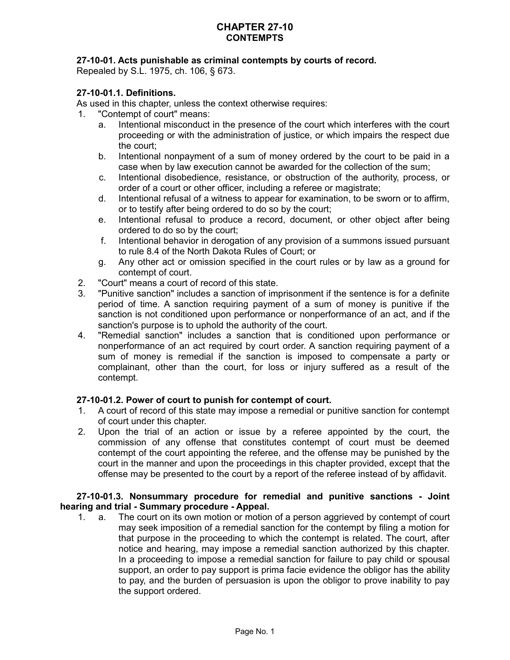# **CHAPTER 27-10 CONTEMPTS**

# **27-10-01. Acts punishable as criminal contempts by courts of record.**

Repealed by S.L. 1975, ch. 106, § 673.

# **27-10-01.1. Definitions.**

As used in this chapter, unless the context otherwise requires:

- 1. "Contempt of court" means:
	- a. Intentional misconduct in the presence of the court which interferes with the court proceeding or with the administration of justice, or which impairs the respect due the court;
	- b. Intentional nonpayment of a sum of money ordered by the court to be paid in a case when by law execution cannot be awarded for the collection of the sum;
	- c. Intentional disobedience, resistance, or obstruction of the authority, process, or order of a court or other officer, including a referee or magistrate;
	- d. Intentional refusal of a witness to appear for examination, to be sworn or to affirm, or to testify after being ordered to do so by the court;
	- e. Intentional refusal to produce a record, document, or other object after being ordered to do so by the court;
	- f. Intentional behavior in derogation of any provision of a summons issued pursuant to rule 8.4 of the North Dakota Rules of Court; or
	- g. Any other act or omission specified in the court rules or by law as a ground for contempt of court.
- 2. "Court" means a court of record of this state.
- 3. "Punitive sanction" includes a sanction of imprisonment if the sentence is for a definite period of time. A sanction requiring payment of a sum of money is punitive if the sanction is not conditioned upon performance or nonperformance of an act, and if the sanction's purpose is to uphold the authority of the court.
- 4. "Remedial sanction" includes a sanction that is conditioned upon performance or nonperformance of an act required by court order. A sanction requiring payment of a sum of money is remedial if the sanction is imposed to compensate a party or complainant, other than the court, for loss or injury suffered as a result of the contempt.

#### **27-10-01.2. Power of court to punish for contempt of court.**

- 1. A court of record of this state may impose a remedial or punitive sanction for contempt of court under this chapter.
- 2. Upon the trial of an action or issue by a referee appointed by the court, the commission of any offense that constitutes contempt of court must be deemed contempt of the court appointing the referee, and the offense may be punished by the court in the manner and upon the proceedings in this chapter provided, except that the offense may be presented to the court by a report of the referee instead of by affidavit.

#### **27-10-01.3. Nonsummary procedure for remedial and punitive sanctions - Joint hearing and trial - Summary procedure - Appeal.**

1. a. The court on its own motion or motion of a person aggrieved by contempt of court may seek imposition of a remedial sanction for the contempt by filing a motion for that purpose in the proceeding to which the contempt is related. The court, after notice and hearing, may impose a remedial sanction authorized by this chapter. In a proceeding to impose a remedial sanction for failure to pay child or spousal support, an order to pay support is prima facie evidence the obligor has the ability to pay, and the burden of persuasion is upon the obligor to prove inability to pay the support ordered.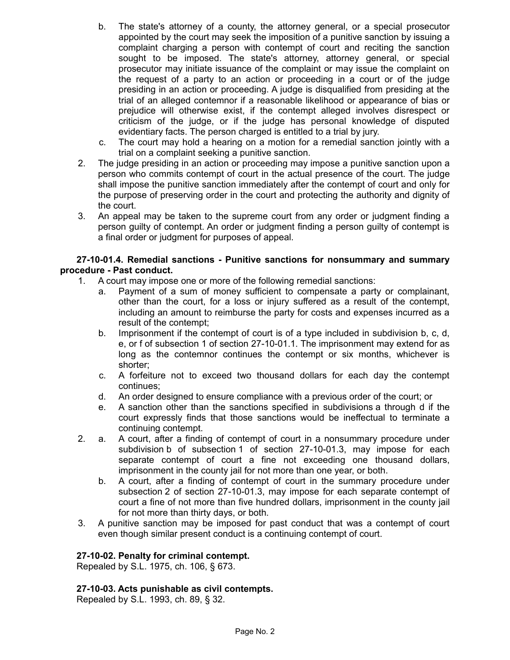- b. The state's attorney of a county, the attorney general, or a special prosecutor appointed by the court may seek the imposition of a punitive sanction by issuing a complaint charging a person with contempt of court and reciting the sanction sought to be imposed. The state's attorney, attorney general, or special prosecutor may initiate issuance of the complaint or may issue the complaint on the request of a party to an action or proceeding in a court or of the judge presiding in an action or proceeding. A judge is disqualified from presiding at the trial of an alleged contemnor if a reasonable likelihood or appearance of bias or prejudice will otherwise exist, if the contempt alleged involves disrespect or criticism of the judge, or if the judge has personal knowledge of disputed evidentiary facts. The person charged is entitled to a trial by jury.
- c. The court may hold a hearing on a motion for a remedial sanction jointly with a trial on a complaint seeking a punitive sanction.
- 2. The judge presiding in an action or proceeding may impose a punitive sanction upon a person who commits contempt of court in the actual presence of the court. The judge shall impose the punitive sanction immediately after the contempt of court and only for the purpose of preserving order in the court and protecting the authority and dignity of the court.
- 3. An appeal may be taken to the supreme court from any order or judgment finding a person guilty of contempt. An order or judgment finding a person guilty of contempt is a final order or judgment for purposes of appeal.

## **27-10-01.4. Remedial sanctions - Punitive sanctions for nonsummary and summary procedure - Past conduct.**

- 1. A court may impose one or more of the following remedial sanctions:
	- a. Payment of a sum of money sufficient to compensate a party or complainant, other than the court, for a loss or injury suffered as a result of the contempt, including an amount to reimburse the party for costs and expenses incurred as a result of the contempt;
	- b. Imprisonment if the contempt of court is of a type included in subdivision b, c, d, e, or f of subsection 1 of section 27-10-01.1. The imprisonment may extend for as long as the contemnor continues the contempt or six months, whichever is shorter;
	- c. A forfeiture not to exceed two thousand dollars for each day the contempt continues;
	- d. An order designed to ensure compliance with a previous order of the court; or
	- e. A sanction other than the sanctions specified in subdivisions a through d if the court expressly finds that those sanctions would be ineffectual to terminate a continuing contempt.
- 2. a. A court, after a finding of contempt of court in a nonsummary procedure under subdivision b of subsection 1 of section 27-10-01.3, may impose for each separate contempt of court a fine not exceeding one thousand dollars, imprisonment in the county jail for not more than one year, or both.
	- b. A court, after a finding of contempt of court in the summary procedure under subsection 2 of section 27-10-01.3, may impose for each separate contempt of court a fine of not more than five hundred dollars, imprisonment in the county jail for not more than thirty days, or both.
- 3. A punitive sanction may be imposed for past conduct that was a contempt of court even though similar present conduct is a continuing contempt of court.

# **27-10-02. Penalty for criminal contempt.**

Repealed by S.L. 1975, ch. 106, § 673.

# **27-10-03. Acts punishable as civil contempts.**

Repealed by S.L. 1993, ch. 89, § 32.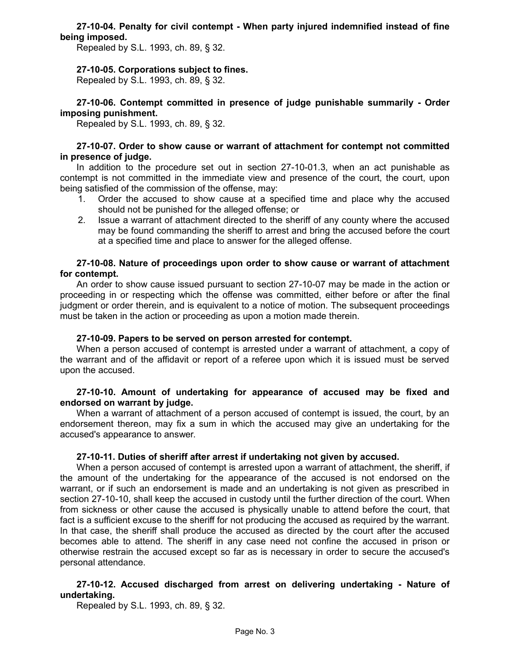#### **27-10-04. Penalty for civil contempt - When party injured indemnified instead of fine being imposed.**

Repealed by S.L. 1993, ch. 89, § 32.

#### **27-10-05. Corporations subject to fines.**

Repealed by S.L. 1993, ch. 89, § 32.

## **27-10-06. Contempt committed in presence of judge punishable summarily - Order imposing punishment.**

Repealed by S.L. 1993, ch. 89, § 32.

#### **27-10-07. Order to show cause or warrant of attachment for contempt not committed in presence of judge.**

In addition to the procedure set out in section 27-10-01.3, when an act punishable as contempt is not committed in the immediate view and presence of the court, the court, upon being satisfied of the commission of the offense, may:

- 1. Order the accused to show cause at a specified time and place why the accused should not be punished for the alleged offense; or
- 2. Issue a warrant of attachment directed to the sheriff of any county where the accused may be found commanding the sheriff to arrest and bring the accused before the court at a specified time and place to answer for the alleged offense.

## **27-10-08. Nature of proceedings upon order to show cause or warrant of attachment for contempt.**

An order to show cause issued pursuant to section 27-10-07 may be made in the action or proceeding in or respecting which the offense was committed, either before or after the final judgment or order therein, and is equivalent to a notice of motion. The subsequent proceedings must be taken in the action or proceeding as upon a motion made therein.

#### **27-10-09. Papers to be served on person arrested for contempt.**

When a person accused of contempt is arrested under a warrant of attachment, a copy of the warrant and of the affidavit or report of a referee upon which it is issued must be served upon the accused.

## **27-10-10. Amount of undertaking for appearance of accused may be fixed and endorsed on warrant by judge.**

When a warrant of attachment of a person accused of contempt is issued, the court, by an endorsement thereon, may fix a sum in which the accused may give an undertaking for the accused's appearance to answer.

#### **27-10-11. Duties of sheriff after arrest if undertaking not given by accused.**

When a person accused of contempt is arrested upon a warrant of attachment, the sheriff, if the amount of the undertaking for the appearance of the accused is not endorsed on the warrant, or if such an endorsement is made and an undertaking is not given as prescribed in section 27-10-10, shall keep the accused in custody until the further direction of the court. When from sickness or other cause the accused is physically unable to attend before the court, that fact is a sufficient excuse to the sheriff for not producing the accused as required by the warrant. In that case, the sheriff shall produce the accused as directed by the court after the accused becomes able to attend. The sheriff in any case need not confine the accused in prison or otherwise restrain the accused except so far as is necessary in order to secure the accused's personal attendance.

# **27-10-12. Accused discharged from arrest on delivering undertaking - Nature of undertaking.**

Repealed by S.L. 1993, ch. 89, § 32.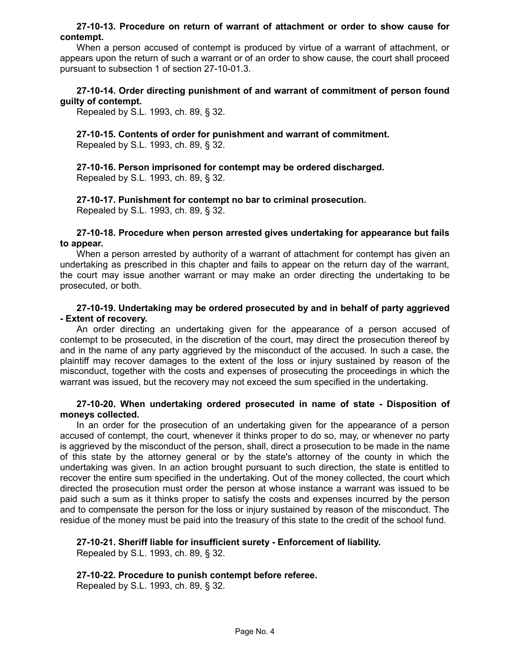#### **27-10-13. Procedure on return of warrant of attachment or order to show cause for contempt.**

When a person accused of contempt is produced by virtue of a warrant of attachment, or appears upon the return of such a warrant or of an order to show cause, the court shall proceed pursuant to subsection 1 of section 27-10-01.3.

## **27-10-14. Order directing punishment of and warrant of commitment of person found guilty of contempt.**

Repealed by S.L. 1993, ch. 89, § 32.

# **27-10-15. Contents of order for punishment and warrant of commitment.**

Repealed by S.L. 1993, ch. 89, § 32.

#### **27-10-16. Person imprisoned for contempt may be ordered discharged.** Repealed by S.L. 1993, ch. 89, § 32.

# **27-10-17. Punishment for contempt no bar to criminal prosecution.**

Repealed by S.L. 1993, ch. 89, § 32.

## **27-10-18. Procedure when person arrested gives undertaking for appearance but fails to appear.**

When a person arrested by authority of a warrant of attachment for contempt has given an undertaking as prescribed in this chapter and fails to appear on the return day of the warrant, the court may issue another warrant or may make an order directing the undertaking to be prosecuted, or both.

# **27-10-19. Undertaking may be ordered prosecuted by and in behalf of party aggrieved - Extent of recovery.**

An order directing an undertaking given for the appearance of a person accused of contempt to be prosecuted, in the discretion of the court, may direct the prosecution thereof by and in the name of any party aggrieved by the misconduct of the accused. In such a case, the plaintiff may recover damages to the extent of the loss or injury sustained by reason of the misconduct, together with the costs and expenses of prosecuting the proceedings in which the warrant was issued, but the recovery may not exceed the sum specified in the undertaking.

# **27-10-20. When undertaking ordered prosecuted in name of state - Disposition of moneys collected.**

In an order for the prosecution of an undertaking given for the appearance of a person accused of contempt, the court, whenever it thinks proper to do so, may, or whenever no party is aggrieved by the misconduct of the person, shall, direct a prosecution to be made in the name of this state by the attorney general or by the state's attorney of the county in which the undertaking was given. In an action brought pursuant to such direction, the state is entitled to recover the entire sum specified in the undertaking. Out of the money collected, the court which directed the prosecution must order the person at whose instance a warrant was issued to be paid such a sum as it thinks proper to satisfy the costs and expenses incurred by the person and to compensate the person for the loss or injury sustained by reason of the misconduct. The residue of the money must be paid into the treasury of this state to the credit of the school fund.

#### **27-10-21. Sheriff liable for insufficient surety - Enforcement of liability.** Repealed by S.L. 1993, ch. 89, § 32.

# **27-10-22. Procedure to punish contempt before referee.**

Repealed by S.L. 1993, ch. 89, § 32.